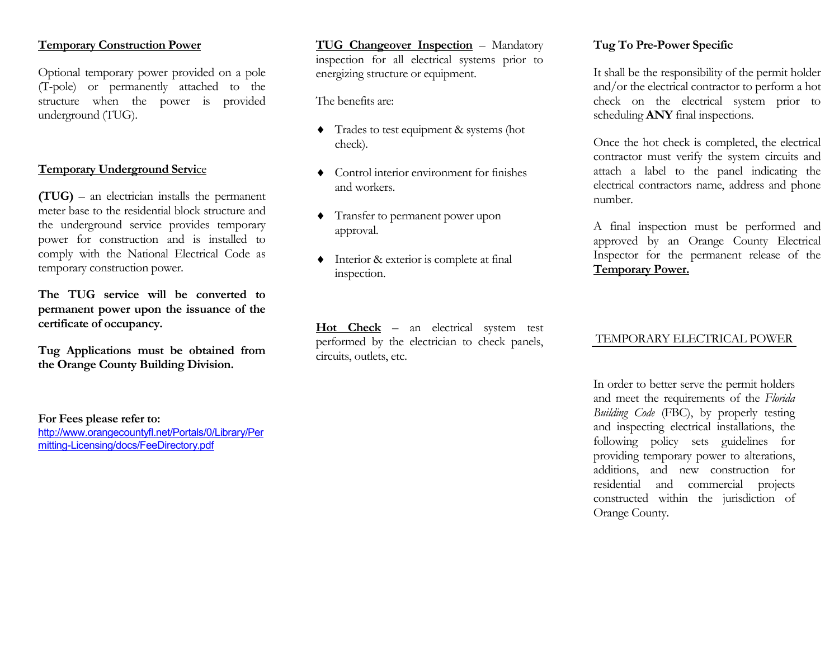#### **Temporary Construction Power**

Optional temporary power provided on a pole (T-pole) or permanently attached to the structure when the power is provided underground (TUG).

#### **Temporary Underground Servi**ce

**(TUG)** – an electrician installs the permanent meter base to the residential block structure and the underground service provides temporary power for construction and is installed to comply with the National Electrical Code as temporary construction power.

**The TUG service will be converted to permanent power upon the issuance of the certificate of occupancy.**

**Tug Applications must be obtained from the Orange County Building Division.**

**For Fees please refer to:** [http://www.orangecountyfl.net/Portals/0/Library/Per](http://www.orangecountyfl.net/Portals/0/Library/Permitting-Licensing/docs/FeeDirectory.pdf) mitting-Licensing/docs/FeeDirectory.pdf

**TUG Changeover Inspection** – Mandatory inspection for all electrical systems prior to energizing structure or equipment.

The benefits are:

- ♦ Trades to test equipment & systems (hot check).
- ♦ Control interior environment for finishes and workers.
- ♦ Transfer to permanent power upon approval.
- ♦ Interior & exterior is complete at final inspection.

**Hot Check** – an electrical system test performed by the electrician to check panels, circuits, outlets, etc.

### **Tug To Pre-Power Specific**

It shall be the responsibility of the permit holder and/or the electrical contractor to perform a hot check on the electrical system prior to scheduling **ANY** final inspections.

Once the hot check is completed, the electrical contractor must verify the system circuits and attach a label to the panel indicating the electrical contractors name, address and phone number.

A final inspection must be performed and approved by an Orange County Electrical Inspector for the permanent release of the **Temporary Power.**

#### TEMPORARY ELECTRICAL POWER

In order to better serve the permit holders and meet the requirements of the *Florida Building Code* (FBC), by properly testing and inspecting electrical installations, the following policy sets guidelines for providing temporary power to alterations, additions, and new construction for residential and commercial projects constructed within the jurisdiction of Orange County.